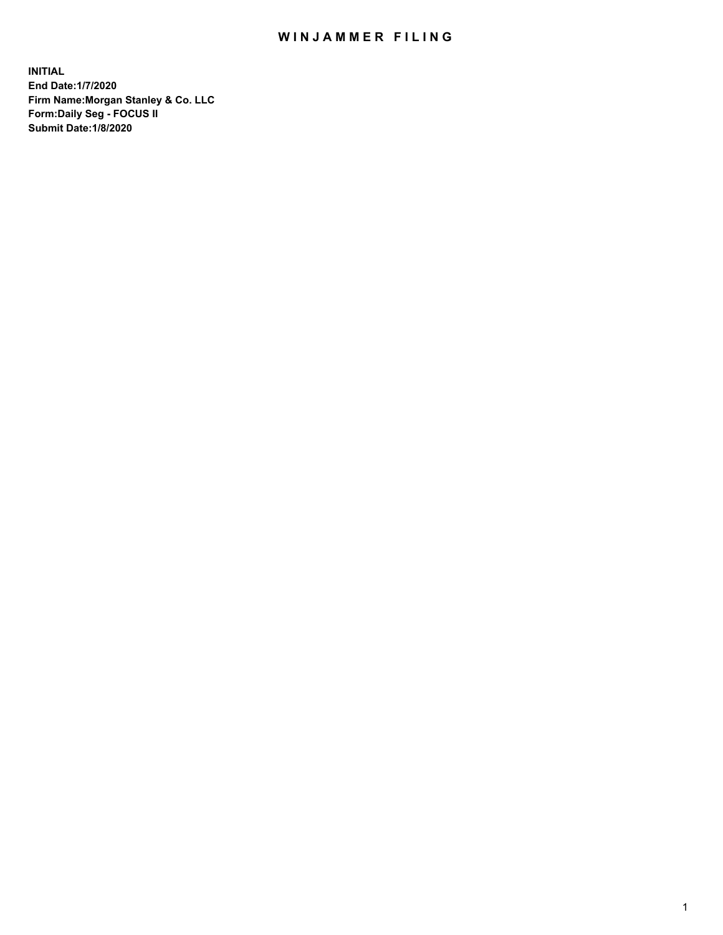## WIN JAMMER FILING

**INITIAL End Date:1/7/2020 Firm Name:Morgan Stanley & Co. LLC Form:Daily Seg - FOCUS II Submit Date:1/8/2020**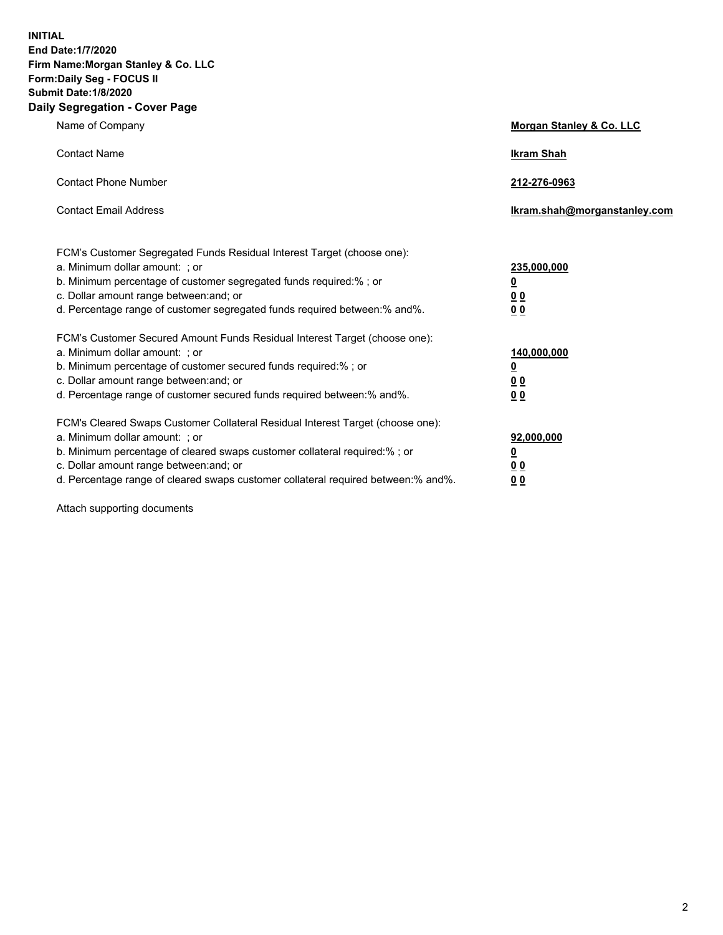**INITIAL End Date:1/7/2020 Firm Name:Morgan Stanley & Co. LLC Form:Daily Seg - FOCUS II Submit Date:1/8/2020 Daily Segregation - Cover Page**

| Name of Company                                                                   | Morgan Stanley & Co. LLC     |
|-----------------------------------------------------------------------------------|------------------------------|
| <b>Contact Name</b>                                                               | <b>Ikram Shah</b>            |
|                                                                                   |                              |
| <b>Contact Phone Number</b>                                                       | 212-276-0963                 |
| <b>Contact Email Address</b>                                                      | Ikram.shah@morganstanley.com |
|                                                                                   |                              |
|                                                                                   |                              |
| FCM's Customer Segregated Funds Residual Interest Target (choose one):            |                              |
| a. Minimum dollar amount: ; or                                                    | 235,000,000                  |
| b. Minimum percentage of customer segregated funds required:%; or                 | <u>0</u>                     |
| c. Dollar amount range between: and; or                                           | <u>00</u>                    |
| d. Percentage range of customer segregated funds required between:% and%.         | 0 Q                          |
| FCM's Customer Secured Amount Funds Residual Interest Target (choose one):        |                              |
| a. Minimum dollar amount: ; or                                                    | 140,000,000                  |
| b. Minimum percentage of customer secured funds required:%; or                    | <u>0</u>                     |
| c. Dollar amount range between: and; or                                           | <u>00</u>                    |
| d. Percentage range of customer secured funds required between:% and%.            | 0 <sup>0</sup>               |
|                                                                                   |                              |
| FCM's Cleared Swaps Customer Collateral Residual Interest Target (choose one):    |                              |
| a. Minimum dollar amount: ; or                                                    | 92,000,000                   |
| b. Minimum percentage of cleared swaps customer collateral required:% ; or        | <u>0</u>                     |
| c. Dollar amount range between: and; or                                           | 00                           |
| d. Percentage range of cleared swaps customer collateral required between:% and%. | 00                           |
|                                                                                   |                              |

Attach supporting documents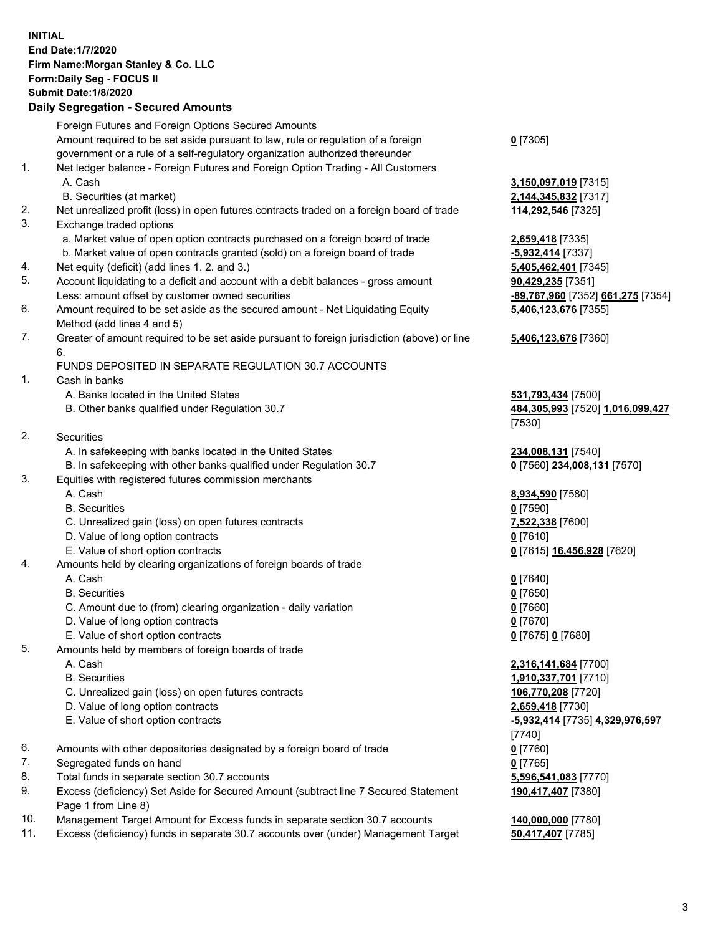## **INITIAL End Date:1/7/2020 Firm Name:Morgan Stanley & Co. LLC Form:Daily Seg - FOCUS II Submit Date:1/8/2020 Daily Segregation - Secured Amounts** Foreign Futures and Foreign Options Secured Amounts Amount required to be set aside pursuant to law, rule or regulation of a foreign government or a rule of a self-regulatory organization authorized thereunder **0** [7305] 1. Net ledger balance - Foreign Futures and Foreign Option Trading - All Customers A. Cash **3,150,097,019** [7315] B. Securities (at market) **2,144,345,832** [7317] 2. Net unrealized profit (loss) in open futures contracts traded on a foreign board of trade **114,292,546** [7325] 3. Exchange traded options a. Market value of open option contracts purchased on a foreign board of trade **2,659,418** [7335] b. Market value of open contracts granted (sold) on a foreign board of trade **-5,932,414** [7337] 4. Net equity (deficit) (add lines 1. 2. and 3.) **5,405,462,401** [7345] 5. Account liquidating to a deficit and account with a debit balances - gross amount **90,429,235** [7351] Less: amount offset by customer owned securities **-89,767,960** [7352] **661,275** [7354] 6. Amount required to be set aside as the secured amount - Net Liquidating Equity Method (add lines 4 and 5) **5,406,123,676** [7355] 7. Greater of amount required to be set aside pursuant to foreign jurisdiction (above) or line 6. **5,406,123,676** [7360] FUNDS DEPOSITED IN SEPARATE REGULATION 30.7 ACCOUNTS 1. Cash in banks A. Banks located in the United States **531,793,434** [7500] B. Other banks qualified under Regulation 30.7 **484,305,993** [7520] **1,016,099,427** [7530] 2. Securities A. In safekeeping with banks located in the United States **234,008,131** [7540] B. In safekeeping with other banks qualified under Regulation 30.7 **0** [7560] **234,008,131** [7570] 3. Equities with registered futures commission merchants A. Cash **8,934,590** [7580] B. Securities **0** [7590] C. Unrealized gain (loss) on open futures contracts **7,522,338** [7600] D. Value of long option contracts **0** [7610] E. Value of short option contracts **0** [7615] **16,456,928** [7620] 4. Amounts held by clearing organizations of foreign boards of trade A. Cash **0** [7640] B. Securities **0** [7650] C. Amount due to (from) clearing organization - daily variation **0** [7660] D. Value of long option contracts **0** [7670] E. Value of short option contracts **0** [7675] **0** [7680] 5. Amounts held by members of foreign boards of trade A. Cash **2,316,141,684** [7700] B. Securities **1,910,337,701** [7710] C. Unrealized gain (loss) on open futures contracts **106,770,208** [7720] D. Value of long option contracts **2,659,418** [7730] E. Value of short option contracts **-5,932,414** [7735] **4,329,976,597** [7740] 6. Amounts with other depositories designated by a foreign board of trade **0** [7760] 7. Segregated funds on hand **0** [7765] 8. Total funds in separate section 30.7 accounts **5,596,541,083** [7770] 9. Excess (deficiency) Set Aside for Secured Amount (subtract line 7 Secured Statement Page 1 from Line 8) **190,417,407** [7380] 10. Management Target Amount for Excess funds in separate section 30.7 accounts **140,000,000** [7780]

11. Excess (deficiency) funds in separate 30.7 accounts over (under) Management Target **50,417,407** [7785]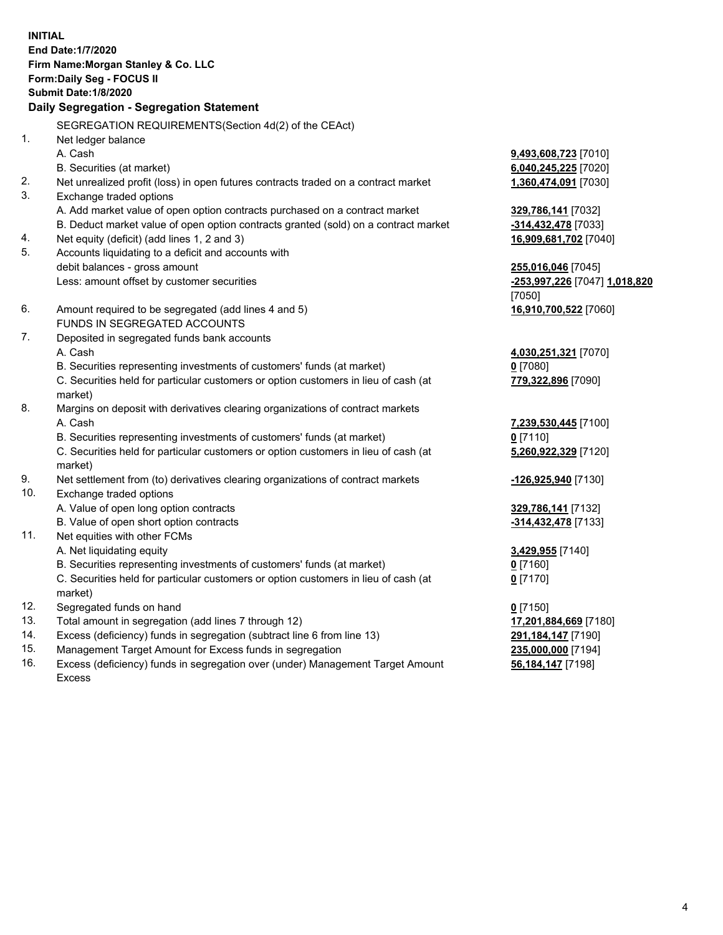|     | <b>INITIAL</b><br>End Date: 1/7/2020<br>Firm Name: Morgan Stanley & Co. LLC<br>Form: Daily Seg - FOCUS II<br><b>Submit Date: 1/8/2020</b><br>Daily Segregation - Segregation Statement |                                              |
|-----|----------------------------------------------------------------------------------------------------------------------------------------------------------------------------------------|----------------------------------------------|
|     |                                                                                                                                                                                        |                                              |
|     | SEGREGATION REQUIREMENTS(Section 4d(2) of the CEAct)                                                                                                                                   |                                              |
| 1.  | Net ledger balance<br>A. Cash                                                                                                                                                          |                                              |
|     | B. Securities (at market)                                                                                                                                                              | 9,493,608,723 [7010]<br>6,040,245,225 [7020] |
| 2.  | Net unrealized profit (loss) in open futures contracts traded on a contract market                                                                                                     | 1,360,474,091 [7030]                         |
| 3.  | Exchange traded options                                                                                                                                                                |                                              |
|     | A. Add market value of open option contracts purchased on a contract market                                                                                                            | 329,786,141 [7032]                           |
|     | B. Deduct market value of open option contracts granted (sold) on a contract market                                                                                                    | -314,432,478 [7033]                          |
| 4.  | Net equity (deficit) (add lines 1, 2 and 3)                                                                                                                                            | 16,909,681,702 [7040]                        |
| 5.  | Accounts liquidating to a deficit and accounts with                                                                                                                                    |                                              |
|     | debit balances - gross amount                                                                                                                                                          | 255,016,046 [7045]                           |
|     | Less: amount offset by customer securities                                                                                                                                             | -253,997,226 [7047] 1,018,820                |
|     |                                                                                                                                                                                        | [7050]                                       |
| 6.  | Amount required to be segregated (add lines 4 and 5)                                                                                                                                   | 16,910,700,522 [7060]                        |
|     | FUNDS IN SEGREGATED ACCOUNTS                                                                                                                                                           |                                              |
| 7.  | Deposited in segregated funds bank accounts                                                                                                                                            |                                              |
|     | A. Cash                                                                                                                                                                                | 4,030,251,321 [7070]                         |
|     | B. Securities representing investments of customers' funds (at market)                                                                                                                 | 0 [7080]                                     |
|     | C. Securities held for particular customers or option customers in lieu of cash (at                                                                                                    | 779,322,896 [7090]                           |
|     | market)                                                                                                                                                                                |                                              |
| 8.  | Margins on deposit with derivatives clearing organizations of contract markets                                                                                                         |                                              |
|     | A. Cash                                                                                                                                                                                | 7,239,530,445 [7100]                         |
|     | B. Securities representing investments of customers' funds (at market)                                                                                                                 | $0$ [7110]                                   |
|     | C. Securities held for particular customers or option customers in lieu of cash (at                                                                                                    | 5,260,922,329 [7120]                         |
|     | market)                                                                                                                                                                                |                                              |
| 9.  | Net settlement from (to) derivatives clearing organizations of contract markets                                                                                                        | -126,925,940 [7130]                          |
| 10. | Exchange traded options                                                                                                                                                                |                                              |
|     | A. Value of open long option contracts                                                                                                                                                 | 329,786,141 [7132]                           |
|     | B. Value of open short option contracts                                                                                                                                                | -314,432,478 [7133]                          |
| 11. | Net equities with other FCMs                                                                                                                                                           |                                              |
|     | A. Net liquidating equity<br>B. Securities representing investments of customers' funds (at market)                                                                                    | 3,429,955 [7140]                             |
|     |                                                                                                                                                                                        | <u>0</u> [7160]                              |
|     | C. Securities held for particular customers or option customers in lieu of cash (at<br>market)                                                                                         | $0$ [7170]                                   |
| 12. | Segregated funds on hand                                                                                                                                                               | $0$ [7150]                                   |
| 13. | Total amount in segregation (add lines 7 through 12)                                                                                                                                   | 17,201,884,669 [7180]                        |
| 14. | Excess (deficiency) funds in segregation (subtract line 6 from line 13)                                                                                                                | 291,184,147 [7190]                           |
| 15. | Management Target Amount for Excess funds in segregation                                                                                                                               | 235,000,000 [7194]                           |
|     |                                                                                                                                                                                        |                                              |

16. Excess (deficiency) funds in segregation over (under) Management Target Amount Excess

**56,184,147** [7198]